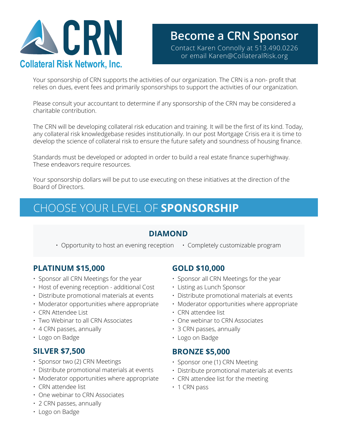

# **Become a CRN Sponsor CONTROVIDENT CONTROLLER SPONSOR CONTROLLER SPONSOR CONTROLLER CONNOLLER SPONSOR CONTROLLER SPONSOR CONNOLLER SPONSOR CONNOLLER SPONSOR CONNOLLER SPONSOR CONNOLLER SPONSOR CONNOLLER SPONSOR CONNOLLER SPONSOR CONNOLLER SPON**

Your sponsorship of CRN supports the activities of our organization. The CRN is a non- profit that relies on dues, event fees and primarily sponsorships to support the activities of our organization.

Please consult your accountant to determine if any sponsorship of the CRN may be considered a charitable contribution.

The CRN will be developing collateral risk education and training. It will be the first of its kind. Today, any collateral risk knowledgebase resides institutionally. In our post Mortgage Crisis era it is time to develop the science of collateral risk to ensure the future safety and soundness of housing finance.

Standards must be developed or adopted in order to build a real estate finance superhighway. These endeavors require resources.

Your sponsorship dollars will be put to use executing on these initiatives at the direction of the Board of Directors.

# CHOOSE YOUR LEVEL OF **SPONSORSHIP**

### **DIAMOND**

• Opportunity to host an evening reception • Completely customizable program

### **PLATINUM \$15,000**

- Sponsor all CRN Meetings for the year
- Host of evening reception additional Cost
- Distribute promotional materials at events
- Moderator opportunities where appropriate
- CRN Attendee List
- Two Webinar to all CRN Associates
- 4 CRN passes, annually
- Logo on Badge

#### **SILVER \$7,500**

- Sponsor two (2) CRN Meetings
- Distribute promotional materials at events
- Moderator opportunities where appropriate
- CRN attendee list
- One webinar to CRN Associates
- 2 CRN passes, annually

#### • Logo on Badge

### **GOLD \$10,000**

- Sponsor all CRN Meetings for the year
- Listing as Lunch Sponsor
- Distribute promotional materials at events
- Moderator opportunities where appropriate
- CRN attendee list
- One webinar to CRN Associates
- 3 CRN passes, annually
- Logo on Badge

#### **BRONZE \$5,000**

- Sponsor one (1) CRN Meeting
- Distribute promotional materials at events
- CRN attendee list for the meeting
- 1 CRN pass